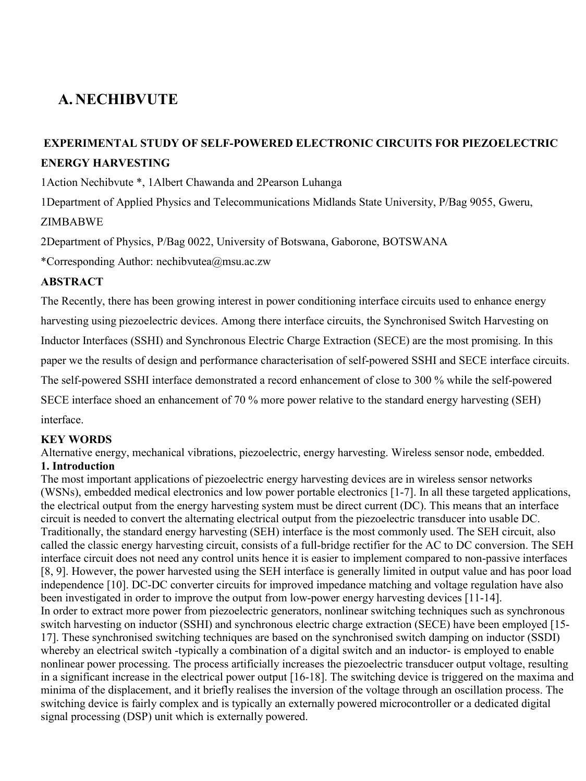# **A. NECHIBVUTE**

# **EXPERIMENTAL STUDY OF SELF-POWERED ELECTRONIC CIRCUITS FOR PIEZOELECTRIC ENERGY HARVESTING**

1Action Nechibvute \*, 1Albert Chawanda and 2Pearson Luhanga

1Department of Applied Physics and Telecommunications Midlands State University, P/Bag 9055, Gweru, ZIMBABWE

2Department of Physics, P/Bag 0022, University of Botswana, Gaborone, BOTSWANA

\*Corresponding Author: nechibvutea@msu.ac.zw

### **ABSTRACT**

The Recently, there has been growing interest in power conditioning interface circuits used to enhance energy harvesting using piezoelectric devices. Among there interface circuits, the Synchronised Switch Harvesting on Inductor Interfaces (SSHI) and Synchronous Electric Charge Extraction (SECE) are the most promising. In this paper we the results of design and performance characterisation of self-powered SSHI and SECE interface circuits. The self-powered SSHI interface demonstrated a record enhancement of close to 300 % while the self-powered SECE interface shoed an enhancement of 70 % more power relative to the standard energy harvesting (SEH) interface.

# **KEY WORDS**

Alternative energy, mechanical vibrations, piezoelectric, energy harvesting. Wireless sensor node, embedded. **1. Introduction** 

The most important applications of piezoelectric energy harvesting devices are in wireless sensor networks (WSNs), embedded medical electronics and low power portable electronics [1-7]. In all these targeted applications, the electrical output from the energy harvesting system must be direct current (DC). This means that an interface circuit is needed to convert the alternating electrical output from the piezoelectric transducer into usable DC. Traditionally, the standard energy harvesting (SEH) interface is the most commonly used. The SEH circuit, also called the classic energy harvesting circuit, consists of a full-bridge rectifier for the AC to DC conversion. The SEH interface circuit does not need any control units hence it is easier to implement compared to non-passive interfaces [8, 9]. However, the power harvested using the SEH interface is generally limited in output value and has poor load independence [10]. DC-DC converter circuits for improved impedance matching and voltage regulation have also been investigated in order to improve the output from low-power energy harvesting devices [11-14]. In order to extract more power from piezoelectric generators, nonlinear switching techniques such as synchronous switch harvesting on inductor (SSHI) and synchronous electric charge extraction (SECE) have been employed [15- 17]. These synchronised switching techniques are based on the synchronised switch damping on inductor (SSDI) whereby an electrical switch -typically a combination of a digital switch and an inductor- is employed to enable nonlinear power processing. The process artificially increases the piezoelectric transducer output voltage, resulting in a significant increase in the electrical power output [16-18]. The switching device is triggered on the maxima and minima of the displacement, and it briefly realises the inversion of the voltage through an oscillation process. The switching device is fairly complex and is typically an externally powered microcontroller or a dedicated digital signal processing (DSP) unit which is externally powered.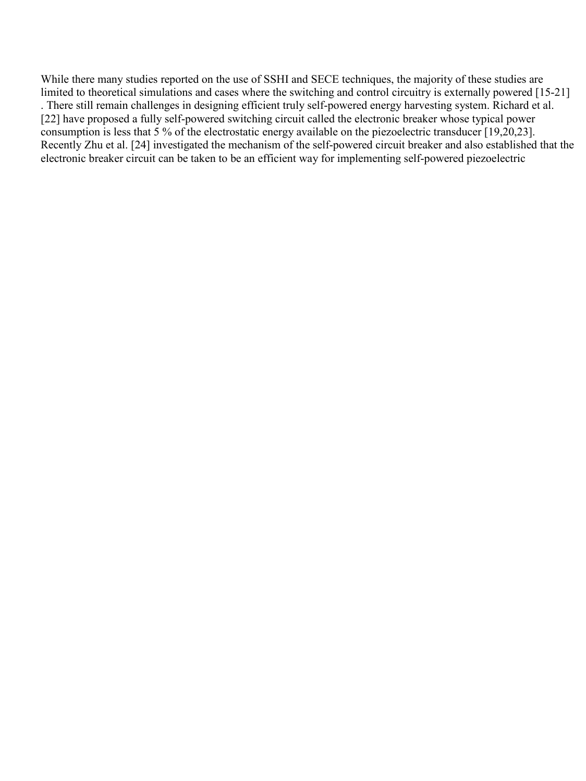While there many studies reported on the use of SSHI and SECE techniques, the majority of these studies are limited to theoretical simulations and cases where the switching and control circuitry is externally powered [15-21] . There still remain challenges in designing efficient truly self-powered energy harvesting system. Richard et al. [22] have proposed a fully self-powered switching circuit called the electronic breaker whose typical power consumption is less that 5 % of the electrostatic energy available on the piezoelectric transducer [19,20,23]. Recently Zhu et al. [24] investigated the mechanism of the self-powered circuit breaker and also established that the electronic breaker circuit can be taken to be an efficient way for implementing self-powered piezoelectric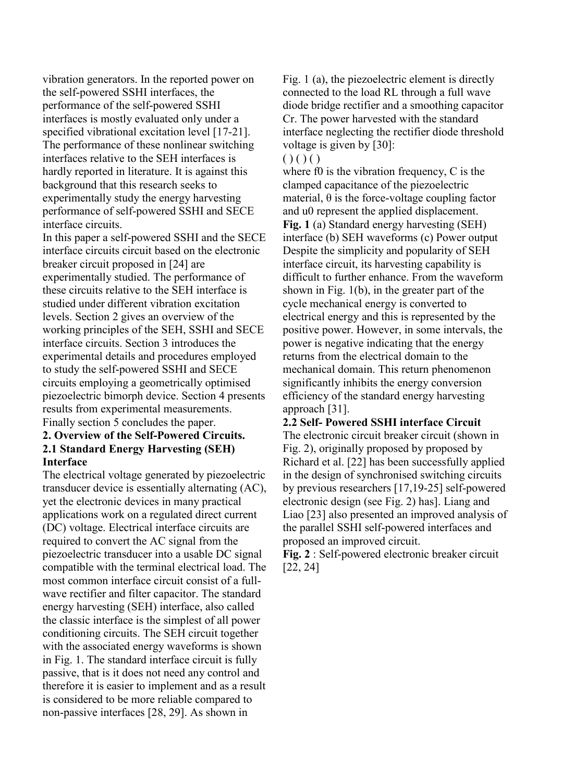vibration generators. In the reported power on the self-powered SSHI interfaces, the performance of the self-powered SSHI interfaces is mostly evaluated only under a specified vibrational excitation level [17-21]. The performance of these nonlinear switching interfaces relative to the SEH interfaces is hardly reported in literature. It is against this background that this research seeks to experimentally study the energy harvesting performance of self-powered SSHI and SECE interface circuits.

In this paper a self-powered SSHI and the SECE interface circuits circuit based on the electronic breaker circuit proposed in [24] are experimentally studied. The performance of these circuits relative to the SEH interface is studied under different vibration excitation levels. Section 2 gives an overview of the working principles of the SEH, SSHI and SECE interface circuits. Section 3 introduces the experimental details and procedures employed to study the self-powered SSHI and SECE circuits employing a geometrically optimised piezoelectric bimorph device. Section 4 presents results from experimental measurements. Finally section 5 concludes the paper.

#### **2. Overview of the Self-Powered Circuits. 2.1 Standard Energy Harvesting (SEH) Interface**

The electrical voltage generated by piezoelectric transducer device is essentially alternating (AC), yet the electronic devices in many practical applications work on a regulated direct current (DC) voltage. Electrical interface circuits are required to convert the AC signal from the piezoelectric transducer into a usable DC signal compatible with the terminal electrical load. The most common interface circuit consist of a fullwave rectifier and filter capacitor. The standard energy harvesting (SEH) interface, also called the classic interface is the simplest of all power conditioning circuits. The SEH circuit together with the associated energy waveforms is shown in Fig. 1. The standard interface circuit is fully passive, that is it does not need any control and therefore it is easier to implement and as a result is considered to be more reliable compared to non-passive interfaces [28, 29]. As shown in

Fig. 1 (a), the piezoelectric element is directly connected to the load RL through a full wave diode bridge rectifier and a smoothing capacitor Cr. The power harvested with the standard interface neglecting the rectifier diode threshold voltage is given by [30]:

 $( ) ( ) ( )$ 

where f0 is the vibration frequency, C is the clamped capacitance of the piezoelectric material,  $\theta$  is the force-voltage coupling factor and u0 represent the applied displacement. **Fig. 1** (a) Standard energy harvesting (SEH) interface (b) SEH waveforms (c) Power output Despite the simplicity and popularity of SEH interface circuit, its harvesting capability is difficult to further enhance. From the waveform shown in Fig. 1(b), in the greater part of the cycle mechanical energy is converted to electrical energy and this is represented by the positive power. However, in some intervals, the power is negative indicating that the energy returns from the electrical domain to the mechanical domain. This return phenomenon significantly inhibits the energy conversion efficiency of the standard energy harvesting approach [31].

**2.2 Self- Powered SSHI interface Circuit**  The electronic circuit breaker circuit (shown in Fig. 2), originally proposed by proposed by Richard et al. [22] has been successfully applied in the design of synchronised switching circuits by previous researchers [17,19-25] self-powered electronic design (see Fig. 2) has]. Liang and Liao [23] also presented an improved analysis of the parallel SSHI self-powered interfaces and proposed an improved circuit.

**Fig. 2** : Self-powered electronic breaker circuit [22, 24]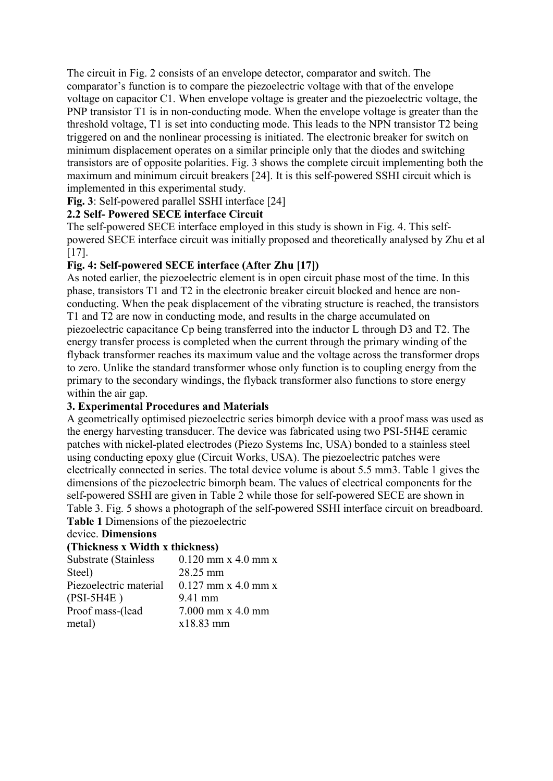The circuit in Fig. 2 consists of an envelope detector, comparator and switch. The comparator's function is to compare the piezoelectric voltage with that of the envelope voltage on capacitor C1. When envelope voltage is greater and the piezoelectric voltage, the PNP transistor T1 is in non-conducting mode. When the envelope voltage is greater than the threshold voltage, T1 is set into conducting mode. This leads to the NPN transistor T2 being triggered on and the nonlinear processing is initiated. The electronic breaker for switch on minimum displacement operates on a similar principle only that the diodes and switching transistors are of opposite polarities. Fig. 3 shows the complete circuit implementing both the maximum and minimum circuit breakers [24]. It is this self-powered SSHI circuit which is implemented in this experimental study.

### **Fig. 3**: Self-powered parallel SSHI interface [24]

# **2.2 Self- Powered SECE interface Circuit**

The self-powered SECE interface employed in this study is shown in Fig. 4. This selfpowered SECE interface circuit was initially proposed and theoretically analysed by Zhu et al [17].

# **Fig. 4: Self-powered SECE interface (After Zhu [17])**

As noted earlier, the piezoelectric element is in open circuit phase most of the time. In this phase, transistors T1 and T2 in the electronic breaker circuit blocked and hence are nonconducting. When the peak displacement of the vibrating structure is reached, the transistors T1 and T2 are now in conducting mode, and results in the charge accumulated on piezoelectric capacitance Cp being transferred into the inductor L through D3 and T2. The energy transfer process is completed when the current through the primary winding of the flyback transformer reaches its maximum value and the voltage across the transformer drops to zero. Unlike the standard transformer whose only function is to coupling energy from the primary to the secondary windings, the flyback transformer also functions to store energy within the air gap.

### **3. Experimental Procedures and Materials**

A geometrically optimised piezoelectric series bimorph device with a proof mass was used as the energy harvesting transducer. The device was fabricated using two PSI-5H4E ceramic patches with nickel-plated electrodes (Piezo Systems Inc, USA) bonded to a stainless steel using conducting epoxy glue (Circuit Works, USA). The piezoelectric patches were electrically connected in series. The total device volume is about 5.5 mm3. Table 1 gives the dimensions of the piezoelectric bimorph beam. The values of electrical components for the self-powered SSHI are given in Table 2 while those for self-powered SECE are shown in Table 3. Fig. 5 shows a photograph of the self-powered SSHI interface circuit on breadboard. **Table 1** Dimensions of the piezoelectric

# device. **Dimensions**

### **(Thickness x Width x thickness)**

| $0.120$ mm x 4.0 mm x |
|-----------------------|
| 28.25 mm              |
| $0.127$ mm x 4.0 mm x |
| 9.41 mm               |
| $7.000$ mm x $4.0$ mm |
| x18.83 mm             |
|                       |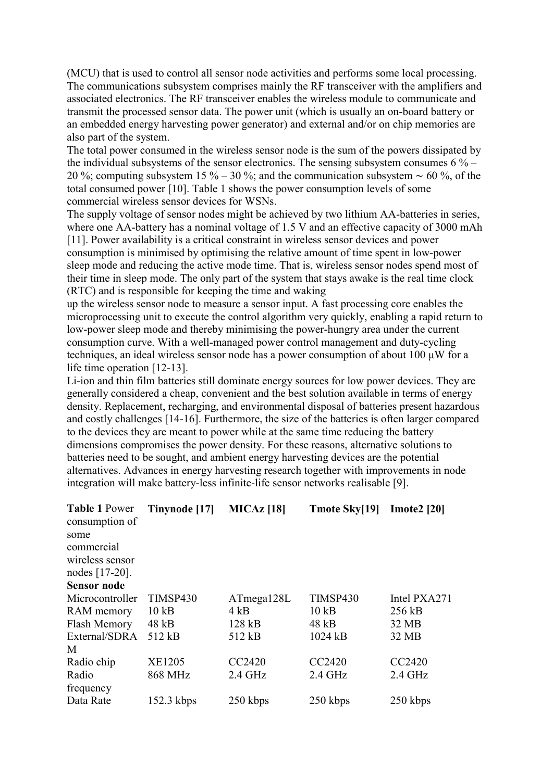(MCU) that is used to control all sensor node activities and performs some local processing. The communications subsystem comprises mainly the RF transceiver with the amplifiers and associated electronics. The RF transceiver enables the wireless module to communicate and transmit the processed sensor data. The power unit (which is usually an on-board battery or an embedded energy harvesting power generator) and external and/or on chip memories are also part of the system.

The total power consumed in the wireless sensor node is the sum of the powers dissipated by the individual subsystems of the sensor electronics. The sensing subsystem consumes  $6\%$  – 20 %; computing subsystem 15 % – 30 %; and the communication subsystem ∼ 60 %, of the total consumed power [10]. Table 1 shows the power consumption levels of some commercial wireless sensor devices for WSNs.

The supply voltage of sensor nodes might be achieved by two lithium AA-batteries in series, where one AA-battery has a nominal voltage of 1.5 V and an effective capacity of 3000 mAh [11]. Power availability is a critical constraint in wireless sensor devices and power consumption is minimised by optimising the relative amount of time spent in low-power sleep mode and reducing the active mode time. That is, wireless sensor nodes spend most of their time in sleep mode. The only part of the system that stays awake is the real time clock (RTC) and is responsible for keeping the time and waking

up the wireless sensor node to measure a sensor input. A fast processing core enables the microprocessing unit to execute the control algorithm very quickly, enabling a rapid return to low-power sleep mode and thereby minimising the power-hungry area under the current consumption curve. With a well-managed power control management and duty-cycling techniques, an ideal wireless sensor node has a power consumption of about 100 μW for a life time operation [12-13].

Li-ion and thin film batteries still dominate energy sources for low power devices. They are generally considered a cheap, convenient and the best solution available in terms of energy density. Replacement, recharging, and environmental disposal of batteries present hazardous and costly challenges [14-16]. Furthermore, the size of the batteries is often larger compared to the devices they are meant to power while at the same time reducing the battery dimensions compromises the power density. For these reasons, alternative solutions to batteries need to be sought, and ambient energy harvesting devices are the potential alternatives. Advances in energy harvesting research together with improvements in node integration will make battery-less infinite-life sensor networks realisable [9].

| <b>Table 1 Power</b><br>consumption of<br>some<br>commercial<br>wireless sensor<br>nodes [17-20].<br><b>Sensor node</b> | Tinynode [17] | <b>MICAz</b> [18] | <b>Tmote Sky[19]</b> | Imote $2$ [20] |
|-------------------------------------------------------------------------------------------------------------------------|---------------|-------------------|----------------------|----------------|
| Microcontroller                                                                                                         | TIMSP430      | ATmega128L        | TIMSP430             | Intel PXA271   |
| RAM memory                                                                                                              | 10kB          | 4kB               | 10kB                 | 256 kB         |
| Flash Memory                                                                                                            | 48 kB         | 128 kB            | 48 kB                | 32 MB          |
| External/SDRA                                                                                                           | 512 kB        | 512 kB            | 1024 kB              | 32 MB          |
| M                                                                                                                       |               |                   |                      |                |
| Radio chip                                                                                                              | <b>XE1205</b> | CC2420            | CC2420               | CC2420         |
| Radio                                                                                                                   | 868 MHz       | $2.4$ GHz         | $2.4$ GHz            | $2.4$ GHz      |
| frequency                                                                                                               |               |                   |                      |                |
| Data Rate                                                                                                               | $152.3$ kbps  | 250 kbps          | 250 kbps             | 250 kbps       |